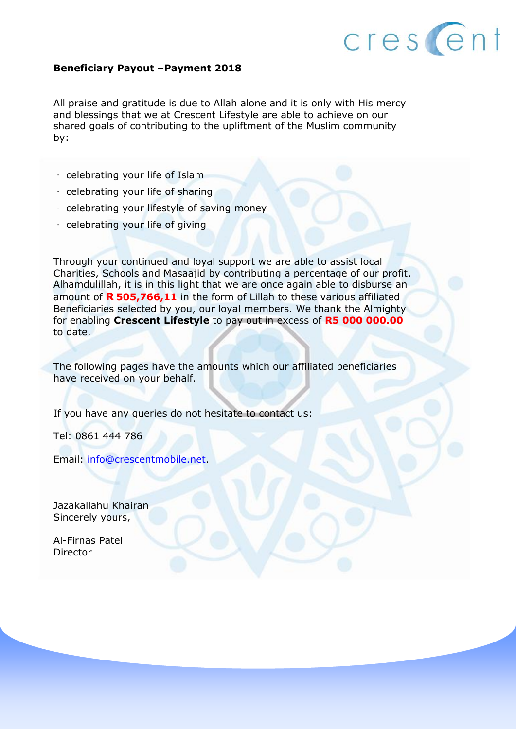

#### **Beneficiary Payout –Payment 2018**

All praise and gratitude is due to Allah alone and it is only with His mercy and blessings that we at Crescent Lifestyle are able to achieve on our shared goals of contributing to the upliftment of the Muslim community by:

- celebrating your life of Islam
- $\cdot$  celebrating your life of sharing
- $\cdot$  celebrating your lifestyle of saving money
- celebrating your life of giving

Through your continued and loyal support we are able to assist local Charities, Schools and Masaajid by contributing a percentage of our profit. Alhamdulillah, it is in this light that we are once again able to disburse an amount of **R 505,766,11** in the form of Lillah to these various affiliated Beneficiaries selected by you, our loyal members. We thank the Almighty for enabling **Crescent Lifestyle** to pay out in excess of **R5 000 000.00** to date.

The following pages have the amounts which our affiliated beneficiaries have received on your behalf.

If you have any queries do not hesitate to contact us:

Tel: 0861 444 786

Email: [info@crescentmobile.net.](mailto:info@crescentmobile.net)

Jazakallahu Khairan Sincerely yours,

Al-Firnas Patel Director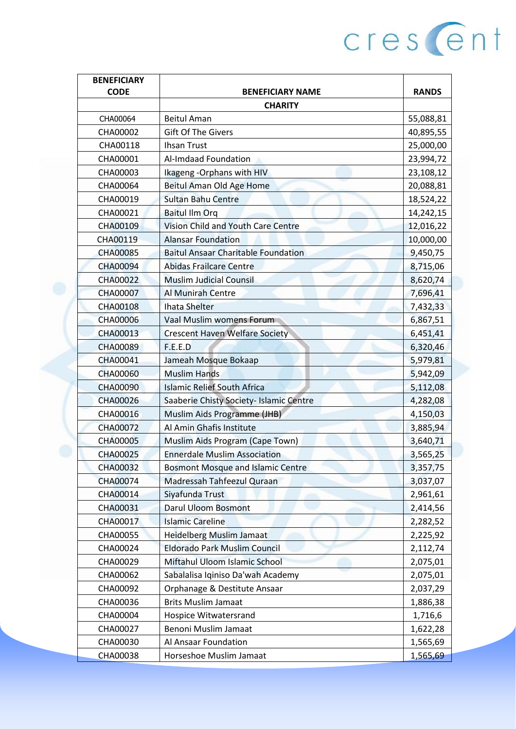| <b>BENEFICIARY</b> |                                            |              |
|--------------------|--------------------------------------------|--------------|
| <b>CODE</b>        | <b>BENEFICIARY NAME</b>                    | <b>RANDS</b> |
|                    | <b>CHARITY</b>                             |              |
| CHA00064           | <b>Beitul Aman</b>                         | 55,088,81    |
| CHA00002           | <b>Gift Of The Givers</b>                  | 40,895,55    |
| CHA00118           | <b>Ihsan Trust</b>                         | 25,000,00    |
| CHA00001           | Al-Imdaad Foundation                       | 23,994,72    |
| CHA00003           | Ikageng - Orphans with HIV                 | 23,108,12    |
| CHA00064           | Beitul Aman Old Age Home                   | 20,088,81    |
| CHA00019           | <b>Sultan Bahu Centre</b>                  | 18,524,22    |
| CHA00021           | <b>Baitul Ilm Org</b>                      | 14,242,15    |
| CHA00109           | <b>Vision Child and Youth Care Centre</b>  | 12,016,22    |
| CHA00119           | <b>Alansar Foundation</b>                  | 10,000,00    |
| <b>CHA00085</b>    | <b>Baitul Ansaar Charitable Foundation</b> | 9,450,75     |
| <b>CHA00094</b>    | <b>Abidas Frailcare Centre</b>             | 8,715,06     |
| CHA00022           | <b>Muslim Judicial Counsil</b>             | 8,620,74     |
| CHA00007           | Al Munirah Centre                          | 7,696,41     |
| <b>CHA00108</b>    | <b>Ihata Shelter</b>                       | 7,432,33     |
| <b>CHA00006</b>    | Vaal Muslim womens Forum                   | 6,867,51     |
| CHA00013           | <b>Crescent Haven Welfare Society</b>      | 6,451,41     |
| <b>CHA00089</b>    | F.E.E.D                                    | 6,320,46     |
| CHA00041           | Jameah Mosque Bokaap                       | 5,979,81     |
| <b>CHA00060</b>    | <b>Muslim Hands</b>                        | 5,942,09     |
| CHA00090           | <b>Islamic Relief South Africa</b>         | 5,112,08     |
| CHA00026           | Saaberie Chisty Society- Islamic Centre    | 4,282,08     |
| CHA00016           | Muslim Aids Programme (JHB)                | 4,150,03     |
| CHA00072           | Al Amin Ghafis Institute                   | 3,885,94     |
| <b>CHA00005</b>    | Muslim Aids Program (Cape Town)            | 3,640,71     |
| <b>CHA00025</b>    | <b>Ennerdale Muslim Association</b>        | 3,565,25     |
| <b>CHA00032</b>    | <b>Bosmont Mosque and Islamic Centre</b>   | 3,357,75     |
| <b>CHA00074</b>    | Madressah Tahfeezul Quraan                 | 3,037,07     |
| CHA00014           | Siyafunda Trust                            | 2,961,61     |
| CHA00031           | <b>Darul Uloom Bosmont</b>                 | 2,414,56     |
| CHA00017           | <b>Islamic Careline</b>                    | 2,282,52     |
| CHA00055           | <b>Heidelberg Muslim Jamaat</b>            | 2,225,92     |
| CHA00024           | <b>Eldorado Park Muslim Council</b>        | 2,112,74     |
| CHA00029           | Miftahul Uloom Islamic School              | 2,075,01     |
| CHA00062           | Sabalalisa Iqiniso Da'wah Academy          | 2,075,01     |
| CHA00092           | Orphanage & Destitute Ansaar               | 2,037,29     |
| CHA00036           | <b>Brits Muslim Jamaat</b>                 | 1,886,38     |
| CHA00004           | Hospice Witwatersrand                      | 1,716,6      |
| CHA00027           | Benoni Muslim Jamaat                       | 1,622,28     |
| CHA00030           | Al Ansaar Foundation                       | 1,565,69     |
| CHA00038           | Horseshoe Muslim Jamaat                    | 1,565,69     |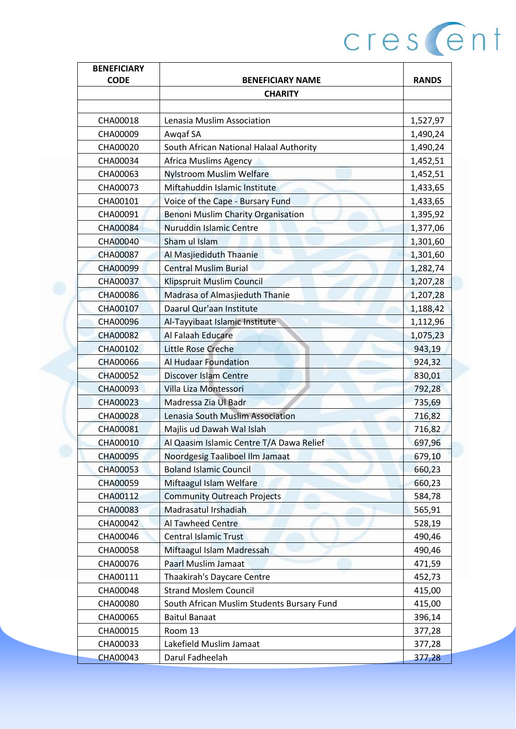| <b>BENEFICIARY</b> |                                            |              |
|--------------------|--------------------------------------------|--------------|
| <b>CODE</b>        | <b>BENEFICIARY NAME</b>                    | <b>RANDS</b> |
|                    | <b>CHARITY</b>                             |              |
|                    |                                            |              |
| CHA00018           | Lenasia Muslim Association                 | 1,527,97     |
| CHA00009           | Awgaf SA                                   | 1,490,24     |
| CHA00020           | South African National Halaal Authority    | 1,490,24     |
| CHA00034           | <b>Africa Muslims Agency</b>               | 1,452,51     |
| CHA00063           | <b>Nylstroom Muslim Welfare</b>            | 1,452,51     |
| CHA00073           | Miftahuddin Islamic Institute              | 1,433,65     |
| CHA00101           | Voice of the Cape - Bursary Fund           | 1,433,65     |
| CHA00091           | <b>Benoni Muslim Charity Organisation</b>  | 1,395,92     |
| CHA00084           | Nuruddin Islamic Centre                    | 1,377,06     |
| CHA00040           | Sham ul Islam                              | 1,301,60     |
| <b>CHA00087</b>    | Al Masjiediduth Thaanie                    | 1,301,60     |
| <b>CHA00099</b>    | <b>Central Muslim Burial</b>               | 1,282,74     |
| CHA00037           | Klipspruit Muslim Council                  | 1,207,28     |
| <b>CHA00086</b>    | Madrasa of Almasjieduth Thanie             | 1,207,28     |
| CHA00107           | Daarul Qur'aan Institute                   | 1,188,42     |
| <b>CHA00096</b>    | Al-Tayyibaat Islamic Institute             | 1,112,96     |
| <b>CHA00082</b>    | Al Falaah Educare                          | 1,075,23     |
| CHA00102           | <b>Little Rose Creche</b>                  | 943,19       |
| <b>CHA00066</b>    | <b>Al Hudaar Foundation</b>                | 924,32       |
| <b>CHA00052</b>    | <b>Discover Islam Centre</b>               | 830,01       |
| CHA00093           | Villa Liza Montessori                      | 792,28       |
| CHA00023           | Madressa Zia Ul Badr                       | 735,69       |
| CHA00028           | Lenasia South Muslim Association           | 716,82       |
| CHA00081           | Majlis ud Dawah Wal Islah                  | 716,82       |
| <b>CHA00010</b>    | Al Qaasim Islamic Centre T/A Dawa Relief   | 697,96       |
| CHA00095           | Noordgesig Taaliboel Ilm Jamaat            | 679,10       |
| CHA00053           | <b>Boland Islamic Council</b>              | 660,23       |
| CHA00059           | Miftaagul Islam Welfare                    | 660,23       |
| CHA00112           | <b>Community Outreach Projects</b>         | 584,78       |
| CHA00083           | Madrasatul Irshadiah                       | 565,91       |
| CHA00042           | <b>Al Tawheed Centre</b>                   | 528,19       |
| CHA00046           | <b>Central Islamic Trust</b>               | 490,46       |
| CHA00058           | Miftaagul Islam Madressah                  | 490,46       |
| CHA00076           | <b>Paarl Muslim Jamaat</b>                 | 471,59       |
| CHA00111           | Thaakirah's Daycare Centre                 | 452,73       |
| CHA00048           | <b>Strand Moslem Council</b>               | 415,00       |
| CHA00080           | South African Muslim Students Bursary Fund | 415,00       |
| CHA00065           | <b>Baitul Banaat</b>                       | 396,14       |
| CHA00015           | Room 13                                    | 377,28       |
| CHA00033           | Lakefield Muslim Jamaat                    | 377,28       |
| <b>CHA00043</b>    | Darul Fadheelah                            | 377,28       |
|                    |                                            |              |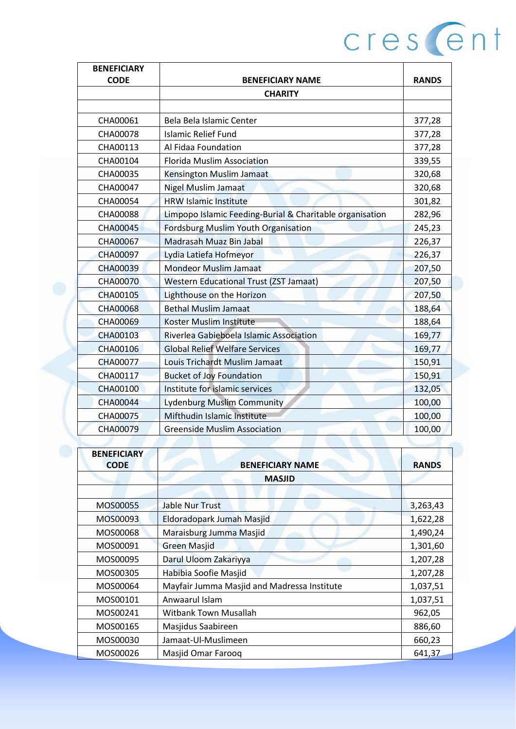| <b>BENEFICIARY</b> |                                                          |              |
|--------------------|----------------------------------------------------------|--------------|
| <b>CODE</b>        | <b>BENEFICIARY NAME</b>                                  | <b>RANDS</b> |
|                    | <b>CHARITY</b>                                           |              |
|                    |                                                          |              |
| CHA00061           | Bela Bela Islamic Center                                 | 377,28       |
| CHA00078           | <b>Islamic Relief Fund</b>                               | 377,28       |
| CHA00113           | Al Fidaa Foundation                                      | 377,28       |
| CHA00104           | <b>Florida Muslim Association</b>                        | 339,55       |
| CHA00035           | Kensington Muslim Jamaat                                 | 320,68       |
| CHA00047           | <b>Nigel Muslim Jamaat</b>                               | 320,68       |
| CHA00054           | <b>HRW Islamic Institute</b>                             | 301,82       |
| <b>CHA00088</b>    | Limpopo Islamic Feeding-Burial & Charitable organisation | 282,96       |
| CHA00045           | <b>Fordsburg Muslim Youth Organisation</b>               | 245,23       |
| <b>CHA00067</b>    | Madrasah Muaz Bin Jabal                                  | 226,37       |
| CHA00097           | Lydia Latiefa Hofmeyor                                   | 226,37       |
| <b>CHA00039</b>    | <b>Mondeor Muslim Jamaat</b>                             | 207,50       |
| <b>CHA00070</b>    | <b>Western Educational Trust (ZST Jamaat)</b>            | 207,50       |
| CHA00105           | Lighthouse on the Horizon                                | 207,50       |
| <b>CHA00068</b>    | <b>Bethal Muslim Jamaat</b>                              | 188,64       |
| <b>CHA00069</b>    | Koster Muslim Institute                                  | 188,64       |
| CHA00103           | Riverlea Gabieboela Islamic Association                  | 169,77       |
| CHA00106           | <b>Global Relief Welfare Services</b>                    | 169,77       |
| <b>CHA00077</b>    | Louis Trichardt Muslim Jamaat                            | 150,91       |
| CHA00117           | <b>Bucket of Joy Foundation</b>                          | 150,91       |
| <b>CHA00100</b>    | Institute for islamic services                           | 132,05       |
| CHA00044           | <b>Lydenburg Muslim Community</b>                        | 100,00       |
| CHA00075           | Mifthudin Islamic Institute                              | 100,00       |
| CHA00079           | <b>Greenside Muslim Association</b>                      | 100,00       |

| <b>BENEFICIARY</b><br><b>CODE</b> | <b>BENEFICIARY NAME</b>                     | <b>RANDS</b> |
|-----------------------------------|---------------------------------------------|--------------|
|                                   | <b>MASJID</b>                               |              |
| MOS00055                          | <b>Jable Nur Trust</b>                      | 3,263,43     |
| MOS00093                          | Eldoradopark Jumah Masjid                   | 1,622,28     |
| MOS00068                          | Maraisburg Jumma Masjid                     | 1,490,24     |
| MOS00091                          | <b>Green Masjid</b>                         | 1,301,60     |
| MOS00095                          | Darul Uloom Zakariyya                       | 1,207,28     |
| MOS00305                          | Habibia Soofie Masjid                       | 1,207,28     |
| MOS00064                          | Mayfair Jumma Masjid and Madressa Institute | 1,037,51     |
| MOS00101                          | Anwaarul Islam                              | 1,037,51     |
| MOS00241                          | <b>Witbank Town Musallah</b>                | 962,05       |
| MOS00165                          | Masjidus Saabireen                          | 886,60       |
| MOS00030                          | Jamaat-Ul-Muslimeen                         | 660,23       |
| MOS00026                          | Masjid Omar Faroog                          | 641,37       |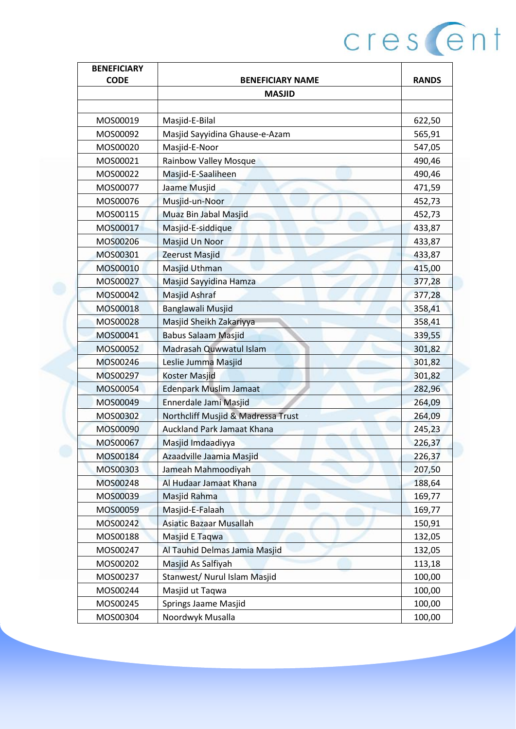| <b>BENEFICIARY</b> |                                    |              |
|--------------------|------------------------------------|--------------|
| <b>CODE</b>        | <b>BENEFICIARY NAME</b>            | <b>RANDS</b> |
|                    | <b>MASJID</b>                      |              |
|                    |                                    |              |
| MOS00019           | Masjid-E-Bilal                     | 622,50       |
| MOS00092           | Masjid Sayyidina Ghause-e-Azam     | 565,91       |
| MOS00020           | Masjid-E-Noor                      | 547,05       |
| MOS00021           | Rainbow Valley Mosque              | 490,46       |
| MOS00022           | Masjid-E-Saaliheen                 | 490,46       |
| MOS00077           | Jaame Musjid                       | 471,59       |
| MOS00076           | Musjid-un-Noor                     | 452,73       |
| MOS00115           | Muaz Bin Jabal Masjid              | 452,73       |
| MOS00017           | Masjid-E-siddique                  | 433,87       |
| MOS00206           | Masjid Un Noor                     | 433,87       |
| MOS00301           | Zeerust Masjid                     | 433,87       |
| MOS00010           | Masjid Uthman                      | 415,00       |
| MOS00027           | Masjid Sayyidina Hamza             | 377,28       |
| MOS00042           | <b>Masjid Ashraf</b>               | 377,28       |
| MOS00018           | Banglawali Musjid                  | 358,41       |
| MOS00028           | Masjid Sheikh Zakariyya            | 358,41       |
| MOS00041           | <b>Babus Salaam Masjid</b>         | 339,55       |
| MOS00052           | Madrasah Quwwatul Islam            | 301,82       |
| MOS00246           | Leslie Jumma Masjid                | 301,82       |
| MOS00297           | Koster Masjid                      | 301,82       |
| MOS00054           | <b>Edenpark Muslim Jamaat</b>      | 282,96       |
| MOS00049           | Ennerdale Jami Masjid              | 264,09       |
| MOS00302           | Northcliff Musjid & Madressa Trust | 264,09       |
| MOS00090           | <b>Auckland Park Jamaat Khana</b>  | 245,23       |
| MOS00067           | Masjid Imdaadiyya                  | 226,37       |
| MOS00184           | Azaadville Jaamia Masjid           | 226,37       |
| MOS00303           | Jameah Mahmoodiyah                 | 207,50       |
| MOS00248           | Al Hudaar Jamaat Khana             | 188,64       |
| MOS00039           | Masjid Rahma                       | 169,77       |
| MOS00059           | Masjid-E-Falaah                    | 169,77       |
| MOS00242           | <b>Asiatic Bazaar Musallah</b>     | 150,91       |
| MOS00188           | Masjid E Taqwa                     | 132,05       |
| MOS00247           | Al Tauhid Delmas Jamia Masjid      | 132,05       |
| MOS00202           | Masjid As Salfiyah                 | 113,18       |
| MOS00237           | Stanwest/ Nurul Islam Masjid       | 100,00       |
| MOS00244           | Masjid ut Taqwa                    | 100,00       |
| MOS00245           | Springs Jaame Masjid               | 100,00       |
| MOS00304           | Noordwyk Musalla                   | 100,00       |